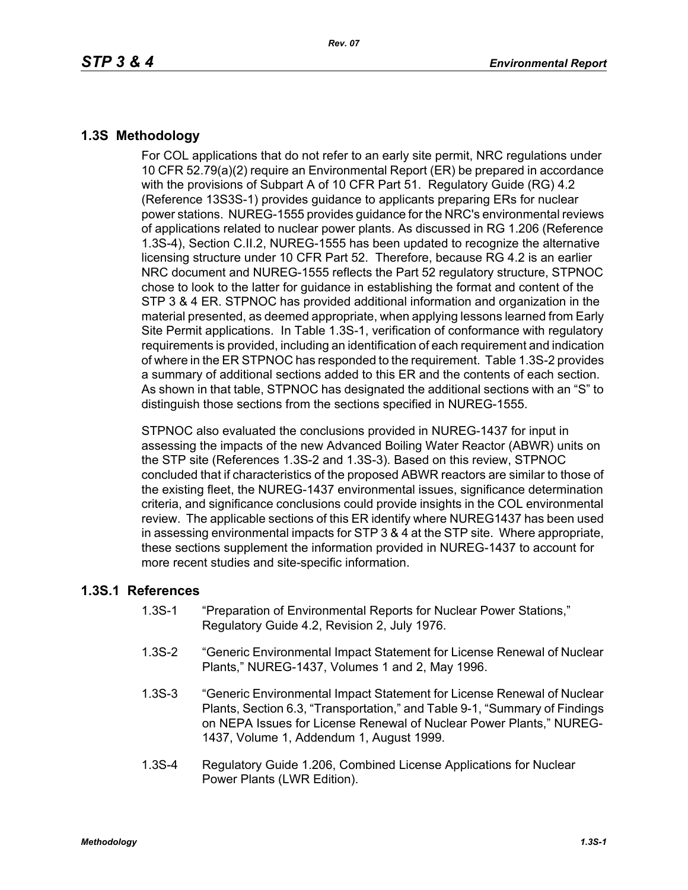## **1.3S Methodology**

For COL applications that do not refer to an early site permit, NRC regulations under 10 CFR 52.79(a)(2) require an Environmental Report (ER) be prepared in accordance with the provisions of Subpart A of 10 CFR Part 51. Regulatory Guide (RG) 4.2 (Reference 13S3S-1) provides guidance to applicants preparing ERs for nuclear power stations. NUREG-1555 provides guidance for the NRC's environmental reviews of applications related to nuclear power plants. As discussed in RG 1.206 (Reference 1.3S-4), Section C.II.2, NUREG-1555 has been updated to recognize the alternative licensing structure under 10 CFR Part 52. Therefore, because RG 4.2 is an earlier NRC document and NUREG-1555 reflects the Part 52 regulatory structure, STPNOC chose to look to the latter for guidance in establishing the format and content of the STP 3 & 4 ER. STPNOC has provided additional information and organization in the material presented, as deemed appropriate, when applying lessons learned from Early Site Permit applications. In Table 1.3S-1, verification of conformance with regulatory requirements is provided, including an identification of each requirement and indication of where in the ER STPNOC has responded to the requirement. Table 1.3S-2 provides a summary of additional sections added to this ER and the contents of each section. As shown in that table, STPNOC has designated the additional sections with an "S" to distinguish those sections from the sections specified in NUREG-1555.

STPNOC also evaluated the conclusions provided in NUREG-1437 for input in assessing the impacts of the new Advanced Boiling Water Reactor (ABWR) units on the STP site (References 1.3S-2 and 1.3S-3). Based on this review, STPNOC concluded that if characteristics of the proposed ABWR reactors are similar to those of the existing fleet, the NUREG-1437 environmental issues, significance determination criteria, and significance conclusions could provide insights in the COL environmental review. The applicable sections of this ER identify where NUREG1437 has been used in assessing environmental impacts for STP 3 & 4 at the STP site. Where appropriate, these sections supplement the information provided in NUREG-1437 to account for more recent studies and site-specific information.

## **1.3S.1 References**

- 1.3S-1 "Preparation of Environmental Reports for Nuclear Power Stations," Regulatory Guide 4.2, Revision 2, July 1976.
- 1.3S-2 "Generic Environmental Impact Statement for License Renewal of Nuclear Plants," NUREG-1437, Volumes 1 and 2, May 1996.
- 1.3S-3 "Generic Environmental Impact Statement for License Renewal of Nuclear Plants, Section 6.3, "Transportation," and Table 9-1, "Summary of Findings on NEPA Issues for License Renewal of Nuclear Power Plants," NUREG-1437, Volume 1, Addendum 1, August 1999.
- 1.3S-4 Regulatory Guide 1.206, Combined License Applications for Nuclear Power Plants (LWR Edition).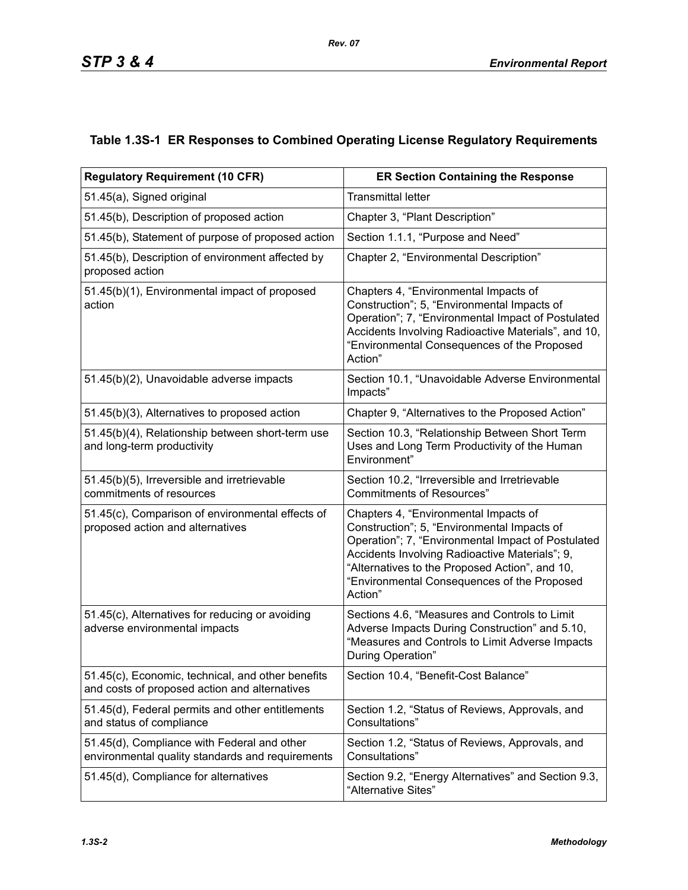## **Table 1.3S-1 ER Responses to Combined Operating License Regulatory Requirements**

| <b>Regulatory Requirement (10 CFR)</b>                                                             | <b>ER Section Containing the Response</b>                                                                                                                                                                                                                                                                |
|----------------------------------------------------------------------------------------------------|----------------------------------------------------------------------------------------------------------------------------------------------------------------------------------------------------------------------------------------------------------------------------------------------------------|
| 51.45(a), Signed original                                                                          | <b>Transmittal letter</b>                                                                                                                                                                                                                                                                                |
| 51.45(b), Description of proposed action                                                           | Chapter 3, "Plant Description"                                                                                                                                                                                                                                                                           |
| 51.45(b), Statement of purpose of proposed action                                                  | Section 1.1.1, "Purpose and Need"                                                                                                                                                                                                                                                                        |
| 51.45(b), Description of environment affected by<br>proposed action                                | Chapter 2, "Environmental Description"                                                                                                                                                                                                                                                                   |
| 51.45(b)(1), Environmental impact of proposed<br>action                                            | Chapters 4, "Environmental Impacts of<br>Construction"; 5, "Environmental Impacts of<br>Operation"; 7, "Environmental Impact of Postulated<br>Accidents Involving Radioactive Materials", and 10,<br>"Environmental Consequences of the Proposed<br>Action"                                              |
| 51.45(b)(2), Unavoidable adverse impacts                                                           | Section 10.1, "Unavoidable Adverse Environmental<br>Impacts"                                                                                                                                                                                                                                             |
| 51.45(b)(3), Alternatives to proposed action                                                       | Chapter 9, "Alternatives to the Proposed Action"                                                                                                                                                                                                                                                         |
| 51.45(b)(4), Relationship between short-term use<br>and long-term productivity                     | Section 10.3, "Relationship Between Short Term<br>Uses and Long Term Productivity of the Human<br>Environment"                                                                                                                                                                                           |
| 51.45(b)(5), Irreversible and irretrievable<br>commitments of resources                            | Section 10.2, "Irreversible and Irretrievable<br><b>Commitments of Resources"</b>                                                                                                                                                                                                                        |
| 51.45(c), Comparison of environmental effects of<br>proposed action and alternatives               | Chapters 4, "Environmental Impacts of<br>Construction"; 5, "Environmental Impacts of<br>Operation"; 7, "Environmental Impact of Postulated<br>Accidents Involving Radioactive Materials"; 9,<br>"Alternatives to the Proposed Action", and 10,<br>"Environmental Consequences of the Proposed<br>Action" |
| 51.45(c), Alternatives for reducing or avoiding<br>adverse environmental impacts                   | Sections 4.6, "Measures and Controls to Limit<br>Adverse Impacts During Construction" and 5.10,<br>"Measures and Controls to Limit Adverse Impacts<br>During Operation"                                                                                                                                  |
| 51.45(c), Economic, technical, and other benefits<br>and costs of proposed action and alternatives | Section 10.4, "Benefit-Cost Balance'                                                                                                                                                                                                                                                                     |
| 51.45(d), Federal permits and other entitlements<br>and status of compliance                       | Section 1.2, "Status of Reviews, Approvals, and<br>Consultations"                                                                                                                                                                                                                                        |
| 51.45(d), Compliance with Federal and other<br>environmental quality standards and requirements    | Section 1.2, "Status of Reviews, Approvals, and<br>Consultations"                                                                                                                                                                                                                                        |
| 51.45(d), Compliance for alternatives                                                              | Section 9.2, "Energy Alternatives" and Section 9.3,<br>"Alternative Sites"                                                                                                                                                                                                                               |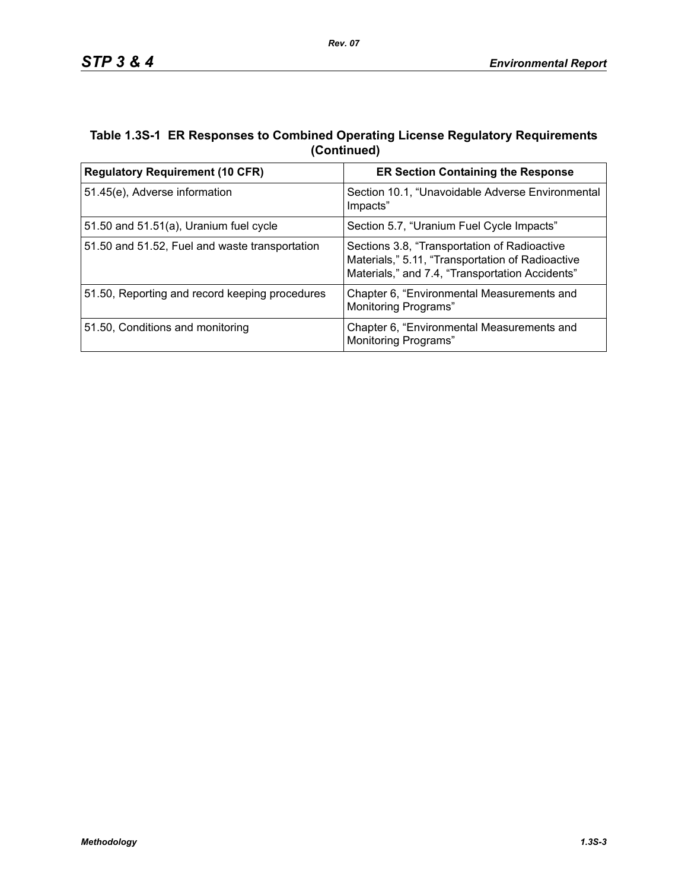## **Table 1.3S-1 ER Responses to Combined Operating License Regulatory Requirements (Continued)**

| <b>Regulatory Requirement (10 CFR)</b>         | <b>ER Section Containing the Response</b>                                                                                                           |
|------------------------------------------------|-----------------------------------------------------------------------------------------------------------------------------------------------------|
| 51.45(e), Adverse information                  | Section 10.1, "Unavoidable Adverse Environmental<br>Impacts"                                                                                        |
| 51.50 and $51.51(a)$ , Uranium fuel cycle      | Section 5.7, "Uranium Fuel Cycle Impacts"                                                                                                           |
| 51.50 and 51.52, Fuel and waste transportation | Sections 3.8, "Transportation of Radioactive<br>Materials," 5.11, "Transportation of Radioactive<br>Materials," and 7.4, "Transportation Accidents" |
| 51.50, Reporting and record keeping procedures | Chapter 6, "Environmental Measurements and<br><b>Monitoring Programs"</b>                                                                           |
| 51.50, Conditions and monitoring               | Chapter 6, "Environmental Measurements and<br>Monitoring Programs"                                                                                  |